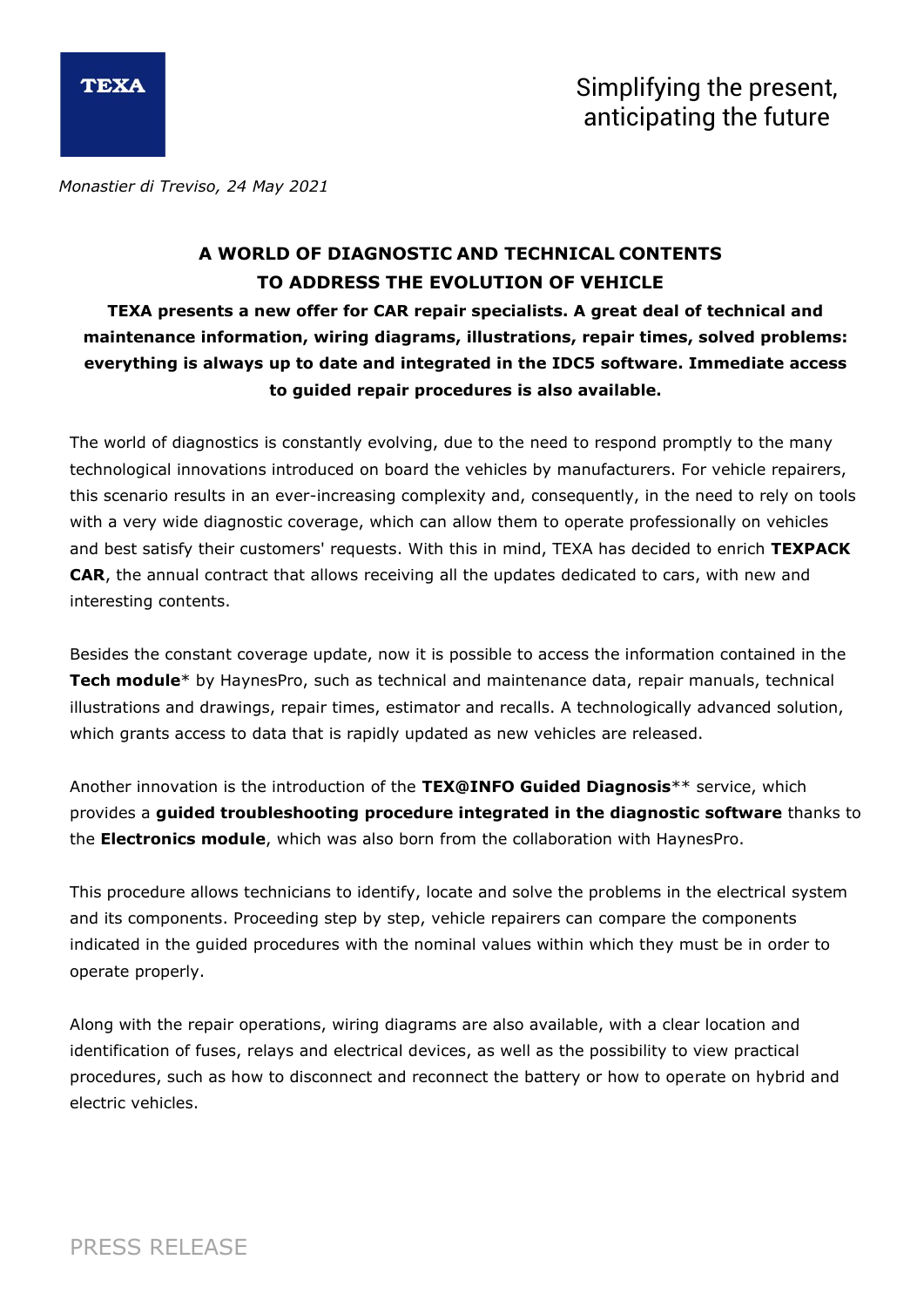

*Monastier di Treviso, 24 May 2021*

## **A WORLD OF DIAGNOSTIC AND TECHNICAL CONTENTS TO ADDRESS THE EVOLUTION OF VEHICLE**

**TEXA presents a new offer for CAR repair specialists. A great deal of technical and maintenance information, wiring diagrams, illustrations, repair times, solved problems: everything is always up to date and integrated in the IDC5 software. Immediate access to guided repair procedures is also available.**

The world of diagnostics is constantly evolving, due to the need to respond promptly to the many technological innovations introduced on board the vehicles by manufacturers. For vehicle repairers, this scenario results in an ever-increasing complexity and, consequently, in the need to rely on tools with a very wide diagnostic coverage, which can allow them to operate professionally on vehicles and best satisfy their customers' requests. With this in mind, TEXA has decided to enrich **TEXPACK CAR**, the annual contract that allows receiving all the updates dedicated to cars, with new and interesting contents.

Besides the constant coverage update, now it is possible to access the information contained in the **Tech module**\* by HaynesPro, such as technical and maintenance data, repair manuals, technical illustrations and drawings, repair times, estimator and recalls. A technologically advanced solution, which grants access to data that is rapidly updated as new vehicles are released.

Another innovation is the introduction of the **TEX@INFO Guided Diagnosis**\*\* service, which provides a **guided troubleshooting procedure integrated in the diagnostic software** thanks to the **Electronics module**, which was also born from the collaboration with HaynesPro.

This procedure allows technicians to identify, locate and solve the problems in the electrical system and its components. Proceeding step by step, vehicle repairers can compare the components indicated in the guided procedures with the nominal values within which they must be in order to operate properly.

Along with the repair operations, wiring diagrams are also available, with a clear location and identification of fuses, relays and electrical devices, as well as the possibility to view practical procedures, such as how to disconnect and reconnect the battery or how to operate on hybrid and electric vehicles.